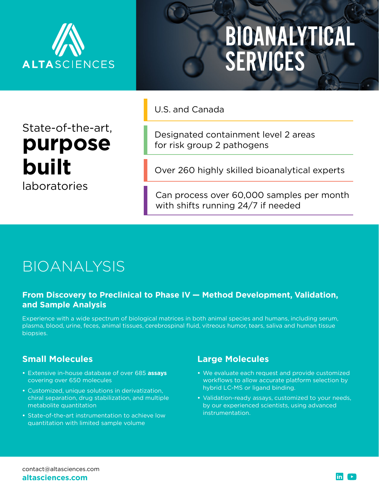

State-of-the-art,

**purpose**

**built**

laboratories

# [BIOANALYTICAL](https://www.altasciences.com/bioanalysis-cro)  [SERVICES](https://www.altasciences.com/bioanalysis-cro)

U.S. and Canada

Designated containment level 2 areas for risk group 2 pathogens

Over 260 highly skilled bioanalytical experts

Can process over 60,000 samples per month with shifts running 24/7 if needed

# BIOANALYSIS

#### **From [Discovery](https://www.altasciences.com/clinical-development-programs) to [Preclinical](https://www.altasciences.com/preclinical-research-services) to Phase IV — Method Development, Validation, and Sample Analysis**

Experience with a wide spectrum of biological matrices in both animal species and humans, including serum, plasma, blood, urine, feces, animal tissues, cerebrospinal fluid, vitreous humor, tears, saliva and human tissue biopsies.

## **Small Molecules**

- **•** Extensive in-house database of over 685 **[assays](https://www.altasciences.com/latest-assay-list)**  covering over 650 molecules
- **•** Customized, unique solutions in derivatization, chiral separation, drug stabilization, and multiple metabolite quantitation
- **•** State-of-the-art instrumentation to achieve low quantitation with limited sample volume

## **Large Molecules**

- **•** We evaluate each request and provide customized workflows to allow accurate platform selection by hybrid LC-MS or ligand binding.
- **•** Validation-ready assays, customized to your needs, by our experienced scientists, using advanced instrumentation.